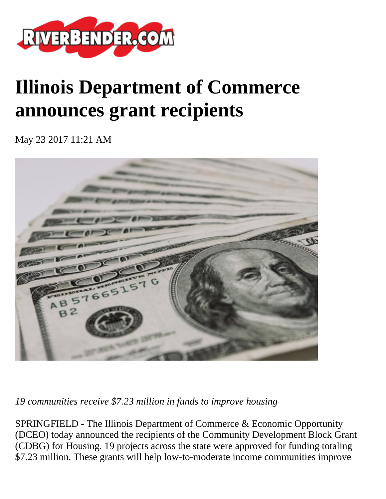

# **Illinois Department of Commerce announces grant recipients**

May 23 2017 11:21 AM



*19 communities receive \$7.23 million in funds to improve housing*

SPRINGFIELD - The Illinois Department of Commerce & Economic Opportunity (DCEO) today announced the recipients of the Community Development Block Grant (CDBG) for Housing. 19 projects across the state were approved for funding totaling \$7.23 million. These grants will help low-to-moderate income communities improve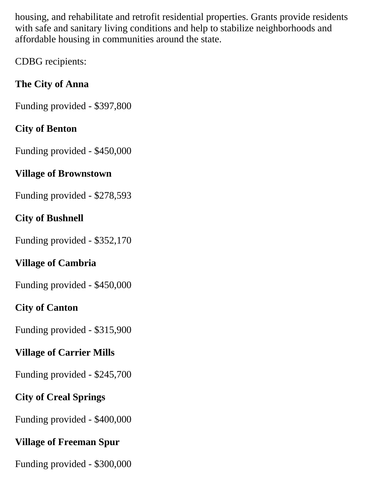housing, and rehabilitate and retrofit residential properties. Grants provide residents with safe and sanitary living conditions and help to stabilize neighborhoods and affordable housing in communities around the state.

CDBG recipients:

# **The City of Anna**

Funding provided - \$397,800

#### **City of Benton**

Funding provided - \$450,000

#### **Village of Brownstown**

Funding provided - \$278,593

#### **City of Bushnell**

Funding provided - \$352,170

# **Village of Cambria**

Funding provided - \$450,000

# **City of Canton**

Funding provided - \$315,900

# **Village of Carrier Mills**

Funding provided - \$245,700

# **City of Creal Springs**

Funding provided - \$400,000

# **Village of Freeman Spur**

Funding provided - \$300,000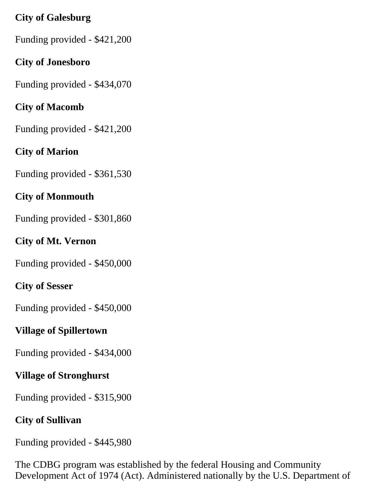#### **City of Galesburg**

Funding provided - \$421,200

#### **City of Jonesboro**

Funding provided - \$434,070

# **City of Macomb**

Funding provided - \$421,200

# **City of Marion**

Funding provided - \$361,530

# **City of Monmouth**

Funding provided - \$301,860

# **City of Mt. Vernon**

Funding provided - \$450,000

# **City of Sesser**

Funding provided - \$450,000

# **Village of Spillertown**

Funding provided - \$434,000

# **Village of Stronghurst**

Funding provided - \$315,900

# **City of Sullivan**

Funding provided - \$445,980

The CDBG program was established by the federal Housing and Community Development Act of 1974 (Act). Administered nationally by the U.S. Department of